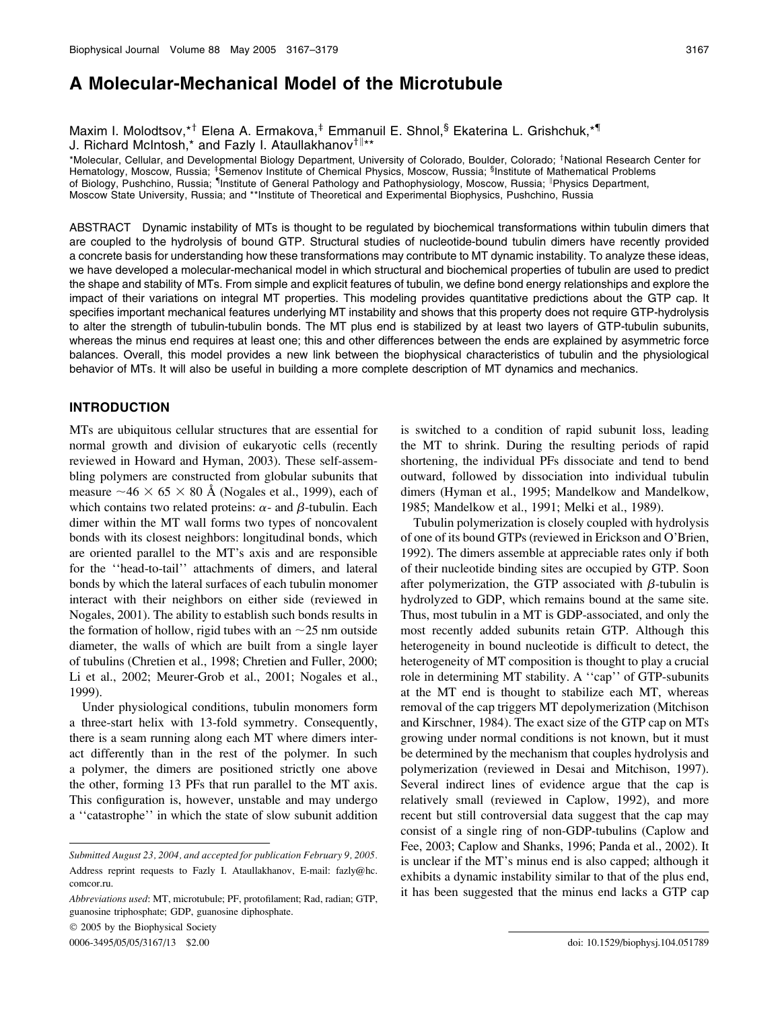# A Molecular-Mechanical Model of the Microtubule

Maxim I. Molodtsov,\*<sup>†</sup> Elena A. Ermakova,<sup>‡</sup> Emmanuil E. Shnol,<sup>§</sup> Ekaterina L. Grishchuk,\*<sup>¶</sup> J. Richard McIntosh,\* and Fazly I. Ataullakhanov<sup>† ||\*\*</sup>

\*Molecular, Cellular, and Developmental Biology Department, University of Colorado, Boulder, Colorado; <sup>†</sup>National Research Center for Hematology, Moscow, Russia; <sup>‡</sup>Semenov Institute of Chemical Physics, Moscow, Russia; <sup>§</sup>Institute of Mathematical Problems<br>of Biology, Pushchino, Russia; <sup>¶</sup>Institute of General Pathology and Pathophysiology, Moscow, Russ Moscow State University, Russia; and \*\*Institute of Theoretical and Experimental Biophysics, Pushchino, Russia

ABSTRACT Dynamic instability of MTs is thought to be regulated by biochemical transformations within tubulin dimers that are coupled to the hydrolysis of bound GTP. Structural studies of nucleotide-bound tubulin dimers have recently provided a concrete basis for understanding how these transformations may contribute to MT dynamic instability. To analyze these ideas, we have developed a molecular-mechanical model in which structural and biochemical properties of tubulin are used to predict the shape and stability of MTs. From simple and explicit features of tubulin, we define bond energy relationships and explore the impact of their variations on integral MT properties. This modeling provides quantitative predictions about the GTP cap. It specifies important mechanical features underlying MT instability and shows that this property does not require GTP-hydrolysis to alter the strength of tubulin-tubulin bonds. The MT plus end is stabilized by at least two layers of GTP-tubulin subunits, whereas the minus end requires at least one; this and other differences between the ends are explained by asymmetric force balances. Overall, this model provides a new link between the biophysical characteristics of tubulin and the physiological behavior of MTs. It will also be useful in building a more complete description of MT dynamics and mechanics.

## INTRODUCTION

MTs are ubiquitous cellular structures that are essential for normal growth and division of eukaryotic cells (recently reviewed in Howard and Hyman, 2003). These self-assembling polymers are constructed from globular subunits that measure  ${\sim}46 \times 65 \times 80$  Å (Nogales et al., 1999), each of which contains two related proteins:  $\alpha$ - and  $\beta$ -tubulin. Each dimer within the MT wall forms two types of noncovalent bonds with its closest neighbors: longitudinal bonds, which are oriented parallel to the MT's axis and are responsible for the ''head-to-tail'' attachments of dimers, and lateral bonds by which the lateral surfaces of each tubulin monomer interact with their neighbors on either side (reviewed in Nogales, 2001). The ability to establish such bonds results in the formation of hollow, rigid tubes with an  $\sim$ 25 nm outside diameter, the walls of which are built from a single layer of tubulins (Chretien et al., 1998; Chretien and Fuller, 2000; Li et al., 2002; Meurer-Grob et al., 2001; Nogales et al., 1999).

Under physiological conditions, tubulin monomers form a three-start helix with 13-fold symmetry. Consequently, there is a seam running along each MT where dimers interact differently than in the rest of the polymer. In such a polymer, the dimers are positioned strictly one above the other, forming 13 PFs that run parallel to the MT axis. This configuration is, however, unstable and may undergo a ''catastrophe'' in which the state of slow subunit addition

2005 by the Biophysical Society

is switched to a condition of rapid subunit loss, leading the MT to shrink. During the resulting periods of rapid shortening, the individual PFs dissociate and tend to bend outward, followed by dissociation into individual tubulin dimers (Hyman et al., 1995; Mandelkow and Mandelkow, 1985; Mandelkow et al., 1991; Melki et al., 1989).

Tubulin polymerization is closely coupled with hydrolysis of one of its bound GTPs (reviewed in Erickson and O'Brien, 1992). The dimers assemble at appreciable rates only if both of their nucleotide binding sites are occupied by GTP. Soon after polymerization, the GTP associated with  $\beta$ -tubulin is hydrolyzed to GDP, which remains bound at the same site. Thus, most tubulin in a MT is GDP-associated, and only the most recently added subunits retain GTP. Although this heterogeneity in bound nucleotide is difficult to detect, the heterogeneity of MT composition is thought to play a crucial role in determining MT stability. A ''cap'' of GTP-subunits at the MT end is thought to stabilize each MT, whereas removal of the cap triggers MT depolymerization (Mitchison and Kirschner, 1984). The exact size of the GTP cap on MTs growing under normal conditions is not known, but it must be determined by the mechanism that couples hydrolysis and polymerization (reviewed in Desai and Mitchison, 1997). Several indirect lines of evidence argue that the cap is relatively small (reviewed in Caplow, 1992), and more recent but still controversial data suggest that the cap may consist of a single ring of non-GDP-tubulins (Caplow and Fee, 2003; Caplow and Shanks, 1996; Panda et al., 2002). It is unclear if the MT's minus end is also capped; although it exhibits a dynamic instability similar to that of the plus end, it has been suggested that the minus end lacks a GTP cap

Submitted August 23, 2004, and accepted for publication February 9, 2005. Address reprint requests to Fazly I. Ataullakhanov, E-mail: fazly@hc. comcor.ru.

Abbreviations used: MT, microtubule; PF, protofilament; Rad, radian; GTP, guanosine triphosphate; GDP, guanosine diphosphate.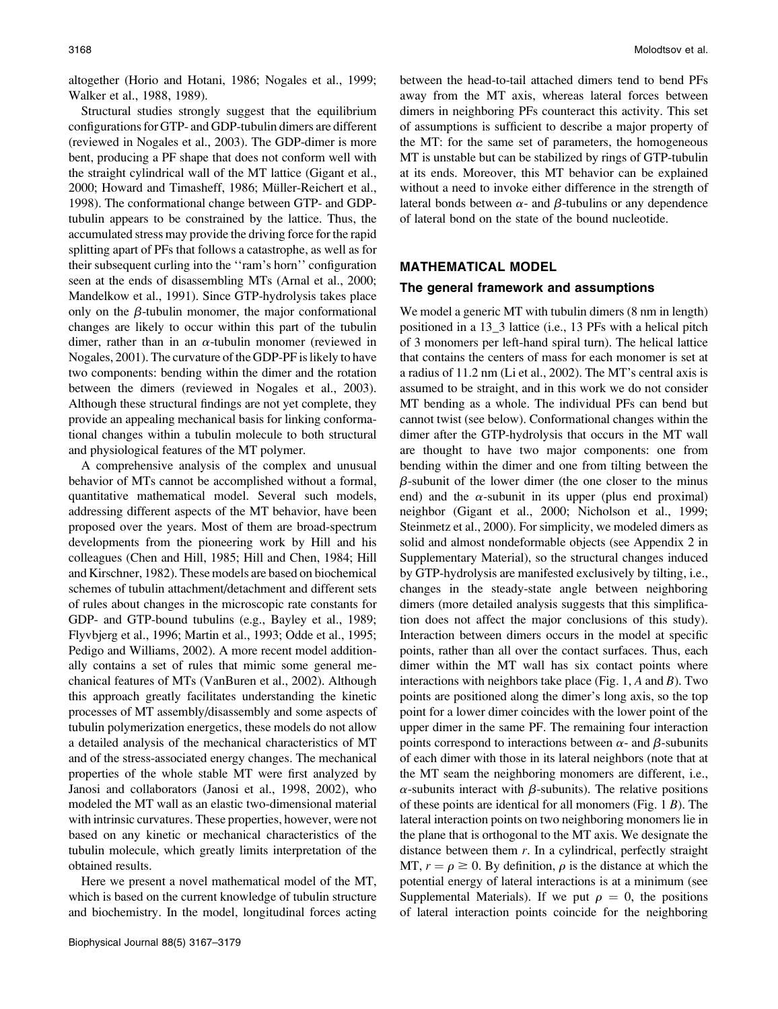altogether (Horio and Hotani, 1986; Nogales et al., 1999; Walker et al., 1988, 1989).

Structural studies strongly suggest that the equilibrium configurations for GTP- and GDP-tubulin dimers are different (reviewed in Nogales et al., 2003). The GDP-dimer is more bent, producing a PF shape that does not conform well with the straight cylindrical wall of the MT lattice (Gigant et al., 2000; Howard and Timasheff, 1986; Müller-Reichert et al., 1998). The conformational change between GTP- and GDPtubulin appears to be constrained by the lattice. Thus, the accumulated stress may provide the driving force for the rapid splitting apart of PFs that follows a catastrophe, as well as for their subsequent curling into the ''ram's horn'' configuration seen at the ends of disassembling MTs (Arnal et al., 2000; Mandelkow et al., 1991). Since GTP-hydrolysis takes place only on the  $\beta$ -tubulin monomer, the major conformational changes are likely to occur within this part of the tubulin dimer, rather than in an  $\alpha$ -tubulin monomer (reviewed in Nogales, 2001). The curvature of the GDP-PF is likely to have two components: bending within the dimer and the rotation between the dimers (reviewed in Nogales et al., 2003). Although these structural findings are not yet complete, they provide an appealing mechanical basis for linking conformational changes within a tubulin molecule to both structural and physiological features of the MT polymer.

A comprehensive analysis of the complex and unusual behavior of MTs cannot be accomplished without a formal, quantitative mathematical model. Several such models, addressing different aspects of the MT behavior, have been proposed over the years. Most of them are broad-spectrum developments from the pioneering work by Hill and his colleagues (Chen and Hill, 1985; Hill and Chen, 1984; Hill and Kirschner, 1982). These models are based on biochemical schemes of tubulin attachment/detachment and different sets of rules about changes in the microscopic rate constants for GDP- and GTP-bound tubulins (e.g., Bayley et al., 1989; Flyvbjerg et al., 1996; Martin et al., 1993; Odde et al., 1995; Pedigo and Williams, 2002). A more recent model additionally contains a set of rules that mimic some general mechanical features of MTs (VanBuren et al., 2002). Although this approach greatly facilitates understanding the kinetic processes of MT assembly/disassembly and some aspects of tubulin polymerization energetics, these models do not allow a detailed analysis of the mechanical characteristics of MT and of the stress-associated energy changes. The mechanical properties of the whole stable MT were first analyzed by Janosi and collaborators (Janosi et al., 1998, 2002), who modeled the MT wall as an elastic two-dimensional material with intrinsic curvatures. These properties, however, were not based on any kinetic or mechanical characteristics of the tubulin molecule, which greatly limits interpretation of the obtained results.

Here we present a novel mathematical model of the MT, which is based on the current knowledge of tubulin structure and biochemistry. In the model, longitudinal forces acting between the head-to-tail attached dimers tend to bend PFs away from the MT axis, whereas lateral forces between dimers in neighboring PFs counteract this activity. This set of assumptions is sufficient to describe a major property of the MT: for the same set of parameters, the homogeneous MT is unstable but can be stabilized by rings of GTP-tubulin at its ends. Moreover, this MT behavior can be explained without a need to invoke either difference in the strength of lateral bonds between  $\alpha$ - and  $\beta$ -tubulins or any dependence of lateral bond on the state of the bound nucleotide.

# MATHEMATICAL MODEL

# The general framework and assumptions

We model a generic MT with tubulin dimers (8 nm in length) positioned in a 13\_3 lattice (i.e., 13 PFs with a helical pitch of 3 monomers per left-hand spiral turn). The helical lattice that contains the centers of mass for each monomer is set at a radius of 11.2 nm (Li et al., 2002). The MT's central axis is assumed to be straight, and in this work we do not consider MT bending as a whole. The individual PFs can bend but cannot twist (see below). Conformational changes within the dimer after the GTP-hydrolysis that occurs in the MT wall are thought to have two major components: one from bending within the dimer and one from tilting between the  $\beta$ -subunit of the lower dimer (the one closer to the minus end) and the  $\alpha$ -subunit in its upper (plus end proximal) neighbor (Gigant et al., 2000; Nicholson et al., 1999; Steinmetz et al., 2000). For simplicity, we modeled dimers as solid and almost nondeformable objects (see Appendix 2 in Supplementary Material), so the structural changes induced by GTP-hydrolysis are manifested exclusively by tilting, i.e., changes in the steady-state angle between neighboring dimers (more detailed analysis suggests that this simplification does not affect the major conclusions of this study). Interaction between dimers occurs in the model at specific points, rather than all over the contact surfaces. Thus, each dimer within the MT wall has six contact points where interactions with neighbors take place (Fig.  $1, A$  and  $B$ ). Two points are positioned along the dimer's long axis, so the top point for a lower dimer coincides with the lower point of the upper dimer in the same PF. The remaining four interaction points correspond to interactions between  $\alpha$ - and  $\beta$ -subunits of each dimer with those in its lateral neighbors (note that at the MT seam the neighboring monomers are different, i.e.,  $\alpha$ -subunits interact with  $\beta$ -subunits). The relative positions of these points are identical for all monomers (Fig. 1 B). The lateral interaction points on two neighboring monomers lie in the plane that is orthogonal to the MT axis. We designate the distance between them  $r$ . In a cylindrical, perfectly straight MT,  $r = \rho \ge 0$ . By definition,  $\rho$  is the distance at which the potential energy of lateral interactions is at a minimum (see Supplemental Materials). If we put  $\rho = 0$ , the positions of lateral interaction points coincide for the neighboring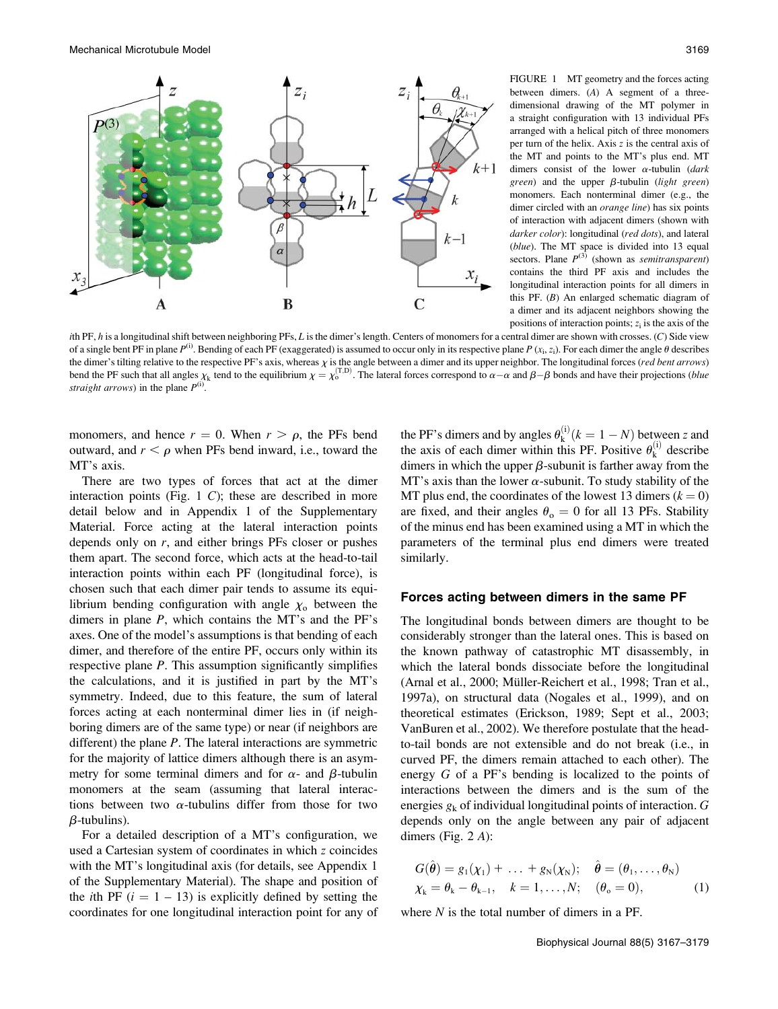

FIGURE 1 MT geometry and the forces acting between dimers. (A) A segment of a threedimensional drawing of the MT polymer in a straight configuration with 13 individual PFs arranged with a helical pitch of three monomers per turn of the helix. Axis z is the central axis of the MT and points to the MT's plus end. MT dimers consist of the lower  $\alpha$ -tubulin (dark  $green)$  and the upper  $\beta$ -tubulin (light green) monomers. Each nonterminal dimer (e.g., the dimer circled with an *orange line*) has six points of interaction with adjacent dimers (shown with darker color): longitudinal (red dots), and lateral (blue). The MT space is divided into 13 equal sectors. Plane  $P^{(3)}$  (shown as *semitransparent*) contains the third PF axis and includes the longitudinal interaction points for all dimers in this PF. (B) An enlarged schematic diagram of

ith PF, h is a longitudinal shift between neighboring PFs, L is the dimer's length. Centers of monomers for a central dimer are shown with crosses.  $(C)$  Side view of a single bent PF in plane  $P^{(i)}$ . Bending of each PF (exaggerated) is assumed to occur only in its respective plane P ( $x_i$ ,  $z_i$ ). For each dimer the angle  $\theta$  describes the dimer's tilting relative to the respective PF's axis, whereas  $\chi$  is the angle between a dimer and its upper neighbor. The longitudinal forces (red bent arrows) bend the PF such that all angles  $\chi_k$  tend to the equilibrium  $\chi = \chi_0^{(T,D)}$ . The lateral forces correspond to  $\alpha - \alpha$  and  $\beta - \beta$  bonds and have their projections (blue straight arrows) in the plane  $P^{(i)}$ .

monomers, and hence  $r = 0$ . When  $r > \rho$ , the PFs bend outward, and  $r < \rho$  when PFs bend inward, i.e., toward the MT's axis.

There are two types of forces that act at the dimer interaction points (Fig. 1  $C$ ); these are described in more detail below and in Appendix 1 of the Supplementary Material. Force acting at the lateral interaction points depends only on  $r$ , and either brings PFs closer or pushes them apart. The second force, which acts at the head-to-tail interaction points within each PF (longitudinal force), is chosen such that each dimer pair tends to assume its equilibrium bending configuration with angle  $\chi_0$  between the dimers in plane  $P$ , which contains the MT's and the PF's axes. One of the model's assumptions is that bending of each dimer, and therefore of the entire PF, occurs only within its respective plane P. This assumption significantly simplifies the calculations, and it is justified in part by the MT's symmetry. Indeed, due to this feature, the sum of lateral forces acting at each nonterminal dimer lies in (if neighboring dimers are of the same type) or near (if neighbors are different) the plane  $P$ . The lateral interactions are symmetric for the majority of lattice dimers although there is an asymmetry for some terminal dimers and for  $\alpha$ - and  $\beta$ -tubulin monomers at the seam (assuming that lateral interactions between two  $\alpha$ -tubulins differ from those for two  $\beta$ -tubulins).

For a detailed description of a MT's configuration, we used a Cartesian system of coordinates in which z coincides with the MT's longitudinal axis (for details, see Appendix 1 of the Supplementary Material). The shape and position of the *i*th PF  $(i = 1 - 13)$  is explicitly defined by setting the coordinates for one longitudinal interaction point for any of

the PF's dimers and by angles  $\theta_k^{(i)}$  ( $k = 1 - N$ ) between z and the axis of each dimer within this PF. Positive  $\theta_k^{(i)}$  describe dimers in which the upper  $\beta$ -subunit is farther away from the MT's axis than the lower  $\alpha$ -subunit. To study stability of the MT plus end, the coordinates of the lowest 13 dimers  $(k = 0)$ are fixed, and their angles  $\theta_0 = 0$  for all 13 PFs. Stability of the minus end has been examined using a MT in which the parameters of the terminal plus end dimers were treated similarly.

#### Forces acting between dimers in the same PF

The longitudinal bonds between dimers are thought to be considerably stronger than the lateral ones. This is based on the known pathway of catastrophic MT disassembly, in which the lateral bonds dissociate before the longitudinal (Arnal et al., 2000; Müller-Reichert et al., 1998; Tran et al., 1997a), on structural data (Nogales et al., 1999), and on theoretical estimates (Erickson, 1989; Sept et al., 2003; VanBuren et al., 2002). We therefore postulate that the headto-tail bonds are not extensible and do not break (i.e., in curved PF, the dimers remain attached to each other). The energy G of a PF's bending is localized to the points of interactions between the dimers and is the sum of the energies  $g_k$  of individual longitudinal points of interaction.  $G$ depends only on the angle between any pair of adjacent dimers (Fig.  $2 \text{ } A$ ):

$$
G(\hat{\theta}) = g_1(\chi_1) + \ldots + g_N(\chi_N); \quad \hat{\theta} = (\theta_1, \ldots, \theta_N)
$$
  

$$
\chi_k = \theta_k - \theta_{k-1}, \quad k = 1, \ldots, N; \quad (\theta_0 = 0), \tag{1}
$$

where  $N$  is the total number of dimers in a PF.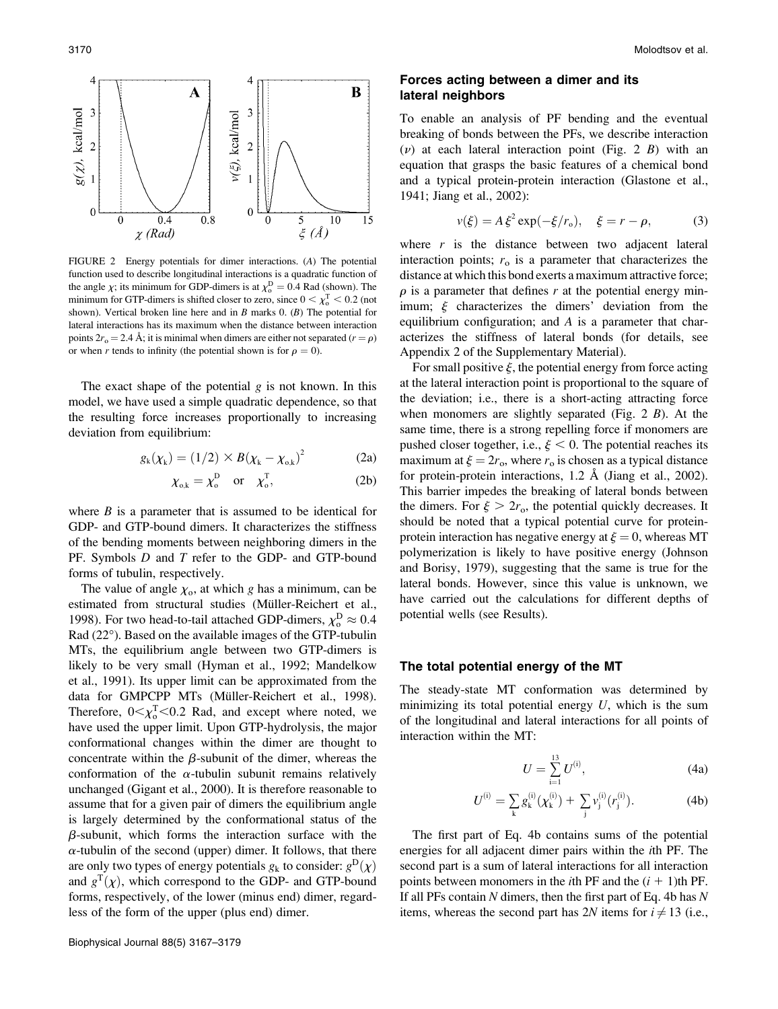

FIGURE 2 Energy potentials for dimer interactions. (A) The potential function used to describe longitudinal interactions is a quadratic function of the angle  $\chi$ ; its minimum for GDP-dimers is at  $\chi_0^D = 0.4$  Rad (shown). The minimum for GTP-dimers is shifted closer to zero, since  $0 \leq \chi_0^{\rm T} \leq 0.2$  (not shown). Vertical broken line here and in  $B$  marks 0.  $(B)$  The potential for lateral interactions has its maximum when the distance between interaction points  $2r_0 = 2.4 \text{ Å}$ ; it is minimal when dimers are either not separated ( $r = \rho$ ) or when r tends to infinity (the potential shown is for  $\rho = 0$ ).

The exact shape of the potential  $g$  is not known. In this model, we have used a simple quadratic dependence, so that the resulting force increases proportionally to increasing deviation from equilibrium:

$$
g_{k}(\chi_{k}) = (1/2) \times B(\chi_{k} - \chi_{o,k})^{2}
$$
 (2a)

$$
\chi_{o,k} = \chi_o^D \quad \text{or} \quad \chi_o^T,\tag{2b}
$$

where  $B$  is a parameter that is assumed to be identical for GDP- and GTP-bound dimers. It characterizes the stiffness of the bending moments between neighboring dimers in the PF. Symbols D and T refer to the GDP- and GTP-bound forms of tubulin, respectively.

The value of angle  $\chi_0$ , at which g has a minimum, can be estimated from structural studies (Müller-Reichert et al., 1998). For two head-to-tail attached GDP-dimers,  $\chi_0^D \approx 0.4$ Rad (22°). Based on the available images of the GTP-tubulin MTs, the equilibrium angle between two GTP-dimers is likely to be very small (Hyman et al., 1992; Mandelkow et al., 1991). Its upper limit can be approximated from the data for GMPCPP MTs (Müller-Reichert et al., 1998). Therefore,  $0 < \chi_0^T < 0.2$  Rad, and except where noted, we have used the upper limit. Upon GTP-hydrolysis, the major conformational changes within the dimer are thought to concentrate within the  $\beta$ -subunit of the dimer, whereas the conformation of the  $\alpha$ -tubulin subunit remains relatively unchanged (Gigant et al., 2000). It is therefore reasonable to assume that for a given pair of dimers the equilibrium angle is largely determined by the conformational status of the  $\beta$ -subunit, which forms the interaction surface with the  $\alpha$ -tubulin of the second (upper) dimer. It follows, that there are only two types of energy potentials  $g_k$  to consider:  $g^D(\chi)$ and  $g^{T}(\chi)$ , which correspond to the GDP- and GTP-bound forms, respectively, of the lower (minus end) dimer, regardless of the form of the upper (plus end) dimer.

# Forces acting between a dimer and its lateral neighbors

To enable an analysis of PF bending and the eventual breaking of bonds between the PFs, we describe interaction  $(v)$  at each lateral interaction point (Fig. 2 B) with an equation that grasps the basic features of a chemical bond and a typical protein-protein interaction (Glastone et al., 1941; Jiang et al., 2002):

$$
v(\xi) = A \xi^2 \exp(-\xi/r_0), \quad \xi = r - \rho,
$$
 (3)

where  $r$  is the distance between two adjacent lateral interaction points;  $r<sub>o</sub>$  is a parameter that characterizes the distance at which this bond exerts a maximum attractive force;  $\rho$  is a parameter that defines r at the potential energy minimum;  $\xi$  characterizes the dimers' deviation from the equilibrium configuration; and A is a parameter that characterizes the stiffness of lateral bonds (for details, see Appendix 2 of the Supplementary Material).

For small positive  $\xi$ , the potential energy from force acting at the lateral interaction point is proportional to the square of the deviation; i.e., there is a short-acting attracting force when monomers are slightly separated (Fig.  $2 B$ ). At the same time, there is a strong repelling force if monomers are pushed closer together, i.e.,  $\xi$  < 0. The potential reaches its maximum at  $\xi = 2r_0$ , where  $r_0$  is chosen as a typical distance for protein-protein interactions, 1.2  $\AA$  (Jiang et al., 2002). This barrier impedes the breaking of lateral bonds between the dimers. For  $\xi > 2r_0$ , the potential quickly decreases. It should be noted that a typical potential curve for proteinprotein interaction has negative energy at  $\xi = 0$ , whereas MT polymerization is likely to have positive energy (Johnson and Borisy, 1979), suggesting that the same is true for the lateral bonds. However, since this value is unknown, we have carried out the calculations for different depths of potential wells (see Results).

### The total potential energy of the MT

The steady-state MT conformation was determined by minimizing its total potential energy  $U$ , which is the sum of the longitudinal and lateral interactions for all points of interaction within the MT:

$$
U = \sum_{i=1}^{13} U^{(i)},
$$
 (4a)

$$
U^{(i)} = \sum_{k} g_{k}^{(i)}(\chi_{k}^{(i)}) + \sum_{j} v_{j}^{(i)}(r_{j}^{(i)}).
$$
 (4b)

The first part of Eq. 4b contains sums of the potential energies for all adjacent dimer pairs within the ith PF. The second part is a sum of lateral interactions for all interaction points between monomers in the *i*th PF and the  $(i + 1)$ th PF. If all PFs contain  $N$  dimers, then the first part of Eq. 4b has  $N$ items, whereas the second part has 2N items for  $i \neq 13$  (i.e.,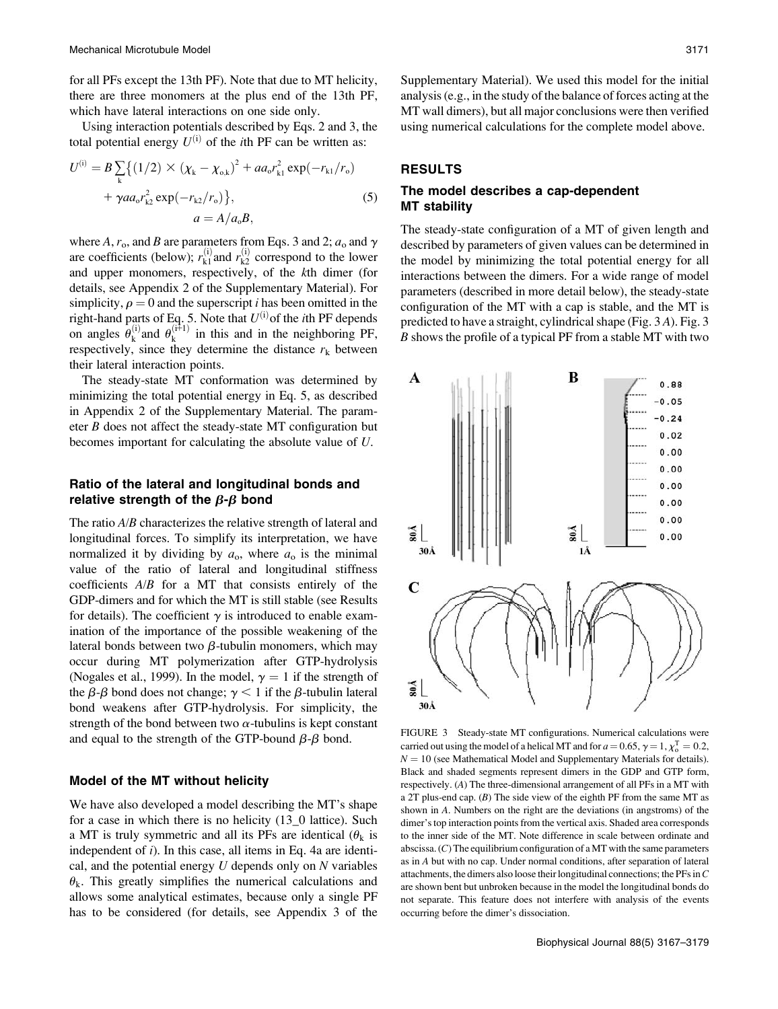for all PFs except the 13th PF). Note that due to MT helicity, there are three monomers at the plus end of the 13th PF, which have lateral interactions on one side only.

Using interaction potentials described by Eqs. 2 and 3, the total potential energy  $U^{(i)}$  of the *i*th PF can be written as:

$$
U^{(i)} = B \sum_{k} \{ (1/2) \times (\chi_{k} - \chi_{o,k})^{2} + aa_{o}r_{k1}^{2} \exp(-r_{k1}/r_{o}) + \gamma aa_{o}r_{k2}^{2} \exp(-r_{k2}/r_{o}) \},
$$
\n
$$
a = A/a_{o}B,
$$
\n(5)

where A,  $r_o$ , and B are parameters from Eqs. 3 and 2;  $a_o$  and  $\gamma$ are coefficients (below);  $r_{k1}^{(i)}$  and  $r_{k2}^{(i)}$  correspond to the lower and upper monomers, respectively, of the kth dimer (for details, see Appendix 2 of the Supplementary Material). For simplicity,  $\rho = 0$  and the superscript *i* has been omitted in the right-hand parts of Eq. 5. Note that  $U^{(i)}$  of the *i*th PF depends on angles  $\hat{\theta}_{k}^{(i)}$  and  $\theta_{k}^{(i+1)}$  in this and in the neighboring PF, respectively, since they determine the distance  $r_k$  between their lateral interaction points.

The steady-state MT conformation was determined by minimizing the total potential energy in Eq. 5, as described in Appendix 2 of the Supplementary Material. The parameter  $B$  does not affect the steady-state MT configuration but becomes important for calculating the absolute value of U.

### Ratio of the lateral and longitudinal bonds and relative strength of the  $\beta-\beta$  bond

The ratio A/B characterizes the relative strength of lateral and longitudinal forces. To simplify its interpretation, we have normalized it by dividing by  $a_0$ , where  $a_0$  is the minimal value of the ratio of lateral and longitudinal stiffness coefficients  $A/B$  for a MT that consists entirely of the GDP-dimers and for which the MT is still stable (see Results for details). The coefficient  $\gamma$  is introduced to enable examination of the importance of the possible weakening of the lateral bonds between two  $\beta$ -tubulin monomers, which may occur during MT polymerization after GTP-hydrolysis (Nogales et al., 1999). In the model,  $\gamma = 1$  if the strength of the  $\beta$ - $\beta$  bond does not change;  $\gamma$  < 1 if the  $\beta$ -tubulin lateral bond weakens after GTP-hydrolysis. For simplicity, the strength of the bond between two  $\alpha$ -tubulins is kept constant and equal to the strength of the GTP-bound  $\beta$ - $\beta$  bond.

#### Model of the MT without helicity

We have also developed a model describing the MT's shape for a case in which there is no helicity (13\_0 lattice). Such a MT is truly symmetric and all its PFs are identical  $(\theta_k)$  is independent of  $i$ ). In this case, all items in Eq. 4a are identical, and the potential energy  $U$  depends only on  $N$  variables  $\theta_k$ . This greatly simplifies the numerical calculations and allows some analytical estimates, because only a single PF has to be considered (for details, see Appendix 3 of the

Supplementary Material). We used this model for the initial analysis (e.g., in the study of the balance of forces acting at the MT wall dimers), but all major conclusions were then verified using numerical calculations for the complete model above.

### RESULTS

### The model describes a cap-dependent MT stability

The steady-state configuration of a MT of given length and described by parameters of given values can be determined in the model by minimizing the total potential energy for all interactions between the dimers. For a wide range of model parameters (described in more detail below), the steady-state configuration of the MT with a cap is stable, and the MT is predicted to have a straight, cylindrical shape (Fig. 3 A). Fig. 3 B shows the profile of a typical PF from a stable MT with two



FIGURE 3 Steady-state MT configurations. Numerical calculations were carried out using the model of a helical MT and for  $a = 0.65$ ,  $\gamma = 1$ ,  $\chi_0^{\text{T}} = 0.2$ ,  $N = 10$  (see Mathematical Model and Supplementary Materials for details). Black and shaded segments represent dimers in the GDP and GTP form, respectively. (A) The three-dimensional arrangement of all PFs in a MT with a 2T plus-end cap. (B) The side view of the eighth PF from the same MT as shown in A. Numbers on the right are the deviations (in angstroms) of the dimer's top interaction points from the vertical axis. Shaded area corresponds to the inner side of the MT. Note difference in scale between ordinate and abscissa. (C) The equilibrium configuration of a MT with the same parameters as in A but with no cap. Under normal conditions, after separation of lateral attachments, the dimers also loose their longitudinal connections; the PFs inC are shown bent but unbroken because in the model the longitudinal bonds do not separate. This feature does not interfere with analysis of the events occurring before the dimer's dissociation.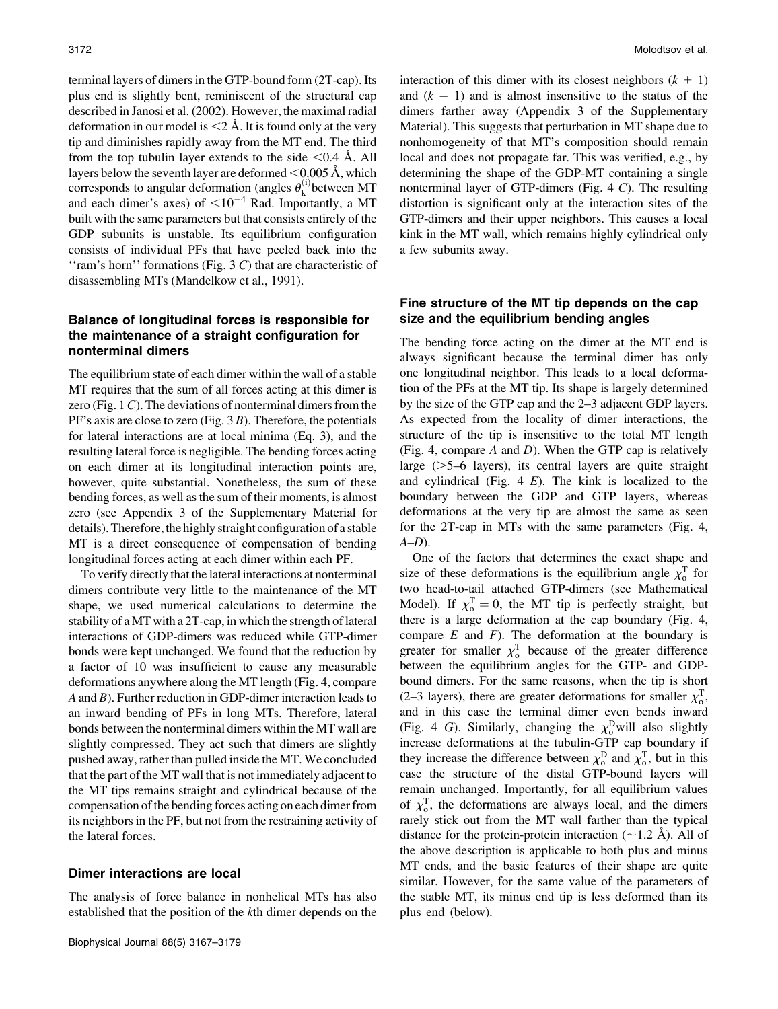terminal layers of dimers in the GTP-bound form (2T-cap). Its plus end is slightly bent, reminiscent of the structural cap described in Janosi et al. (2002). However, the maximal radial deformation in our model is  $\leq 2$  Å. It is found only at the very tip and diminishes rapidly away from the MT end. The third from the top tubulin layer extends to the side  $\leq 0.4$  Å. All layers below the seventh layer are deformed  $< 0.005$  Å, which corresponds to angular deformation (angles  $\theta_k^{(i)}$  between MT and each dimer's axes) of  $\leq 10^{-4}$  Rad. Importantly, a MT built with the same parameters but that consists entirely of the GDP subunits is unstable. Its equilibrium configuration consists of individual PFs that have peeled back into the "ram's horn" formations (Fig. 3  $C$ ) that are characteristic of disassembling MTs (Mandelkow et al., 1991).

# Balance of longitudinal forces is responsible for the maintenance of a straight configuration for nonterminal dimers

The equilibrium state of each dimer within the wall of a stable MT requires that the sum of all forces acting at this dimer is zero (Fig.  $1 C$ ). The deviations of nonterminal dimers from the PF's axis are close to zero (Fig. 3 B). Therefore, the potentials for lateral interactions are at local minima (Eq. 3), and the resulting lateral force is negligible. The bending forces acting on each dimer at its longitudinal interaction points are, however, quite substantial. Nonetheless, the sum of these bending forces, as well as the sum of their moments, is almost zero (see Appendix 3 of the Supplementary Material for details). Therefore, the highly straight configuration of a stable MT is a direct consequence of compensation of bending longitudinal forces acting at each dimer within each PF.

To verify directly that the lateral interactions at nonterminal dimers contribute very little to the maintenance of the MT shape, we used numerical calculations to determine the stability of a MT with a 2T-cap, in which the strength of lateral interactions of GDP-dimers was reduced while GTP-dimer bonds were kept unchanged. We found that the reduction by a factor of 10 was insufficient to cause any measurable deformations anywhere along the MT length (Fig. 4, compare  $A$  and  $B$ ). Further reduction in GDP-dimer interaction leads to an inward bending of PFs in long MTs. Therefore, lateral bonds between the nonterminal dimers within the MT wall are slightly compressed. They act such that dimers are slightly pushed away, rather than pulled inside the MT. We concluded that the part of the MT wall that is not immediately adjacent to the MT tips remains straight and cylindrical because of the compensation of the bending forces acting on each dimer from its neighbors in the PF, but not from the restraining activity of the lateral forces.

#### Dimer interactions are local

The analysis of force balance in nonhelical MTs has also established that the position of the kth dimer depends on the

interaction of this dimer with its closest neighbors  $(k + 1)$ and  $(k - 1)$  and is almost insensitive to the status of the dimers farther away (Appendix 3 of the Supplementary Material). This suggests that perturbation in MT shape due to nonhomogeneity of that MT's composition should remain local and does not propagate far. This was verified, e.g., by determining the shape of the GDP-MT containing a single nonterminal layer of GTP-dimers (Fig. 4 C). The resulting distortion is significant only at the interaction sites of the GTP-dimers and their upper neighbors. This causes a local kink in the MT wall, which remains highly cylindrical only a few subunits away.

## Fine structure of the MT tip depends on the cap size and the equilibrium bending angles

The bending force acting on the dimer at the MT end is always significant because the terminal dimer has only one longitudinal neighbor. This leads to a local deformation of the PFs at the MT tip. Its shape is largely determined by the size of the GTP cap and the 2–3 adjacent GDP layers. As expected from the locality of dimer interactions, the structure of the tip is insensitive to the total MT length (Fig. 4, compare A and  $D$ ). When the GTP cap is relatively large  $(>=5-6$  layers), its central layers are quite straight and cylindrical (Fig.  $4 E$ ). The kink is localized to the boundary between the GDP and GTP layers, whereas deformations at the very tip are almost the same as seen for the 2T-cap in MTs with the same parameters (Fig. 4, A–D).

One of the factors that determines the exact shape and size of these deformations is the equilibrium angle  $\chi_0^T$  for two head-to-tail attached GTP-dimers (see Mathematical Model). If  $\chi_0^T = 0$ , the MT tip is perfectly straight, but there is a large deformation at the cap boundary (Fig. 4, compare  $E$  and  $F$ ). The deformation at the boundary is greater for smaller  $\chi_0^T$  because of the greater difference between the equilibrium angles for the GTP- and GDPbound dimers. For the same reasons, when the tip is short (2–3 layers), there are greater deformations for smaller  $\chi_0^T$ , and in this case the terminal dimer even bends inward (Fig. 4 G). Similarly, changing the  $\chi_0^{\text{D}}$  will also slightly increase deformations at the tubulin-GTP cap boundary if they increase the difference between  $\chi_0^D$  and  $\chi_0^T$ , but in this case the structure of the distal GTP-bound layers will remain unchanged. Importantly, for all equilibrium values of  $\chi_0^T$ , the deformations are always local, and the dimers rarely stick out from the MT wall farther than the typical distance for the protein-protein interaction  $(\sim 1.2 \text{ Å})$ . All of the above description is applicable to both plus and minus MT ends, and the basic features of their shape are quite similar. However, for the same value of the parameters of the stable MT, its minus end tip is less deformed than its plus end (below).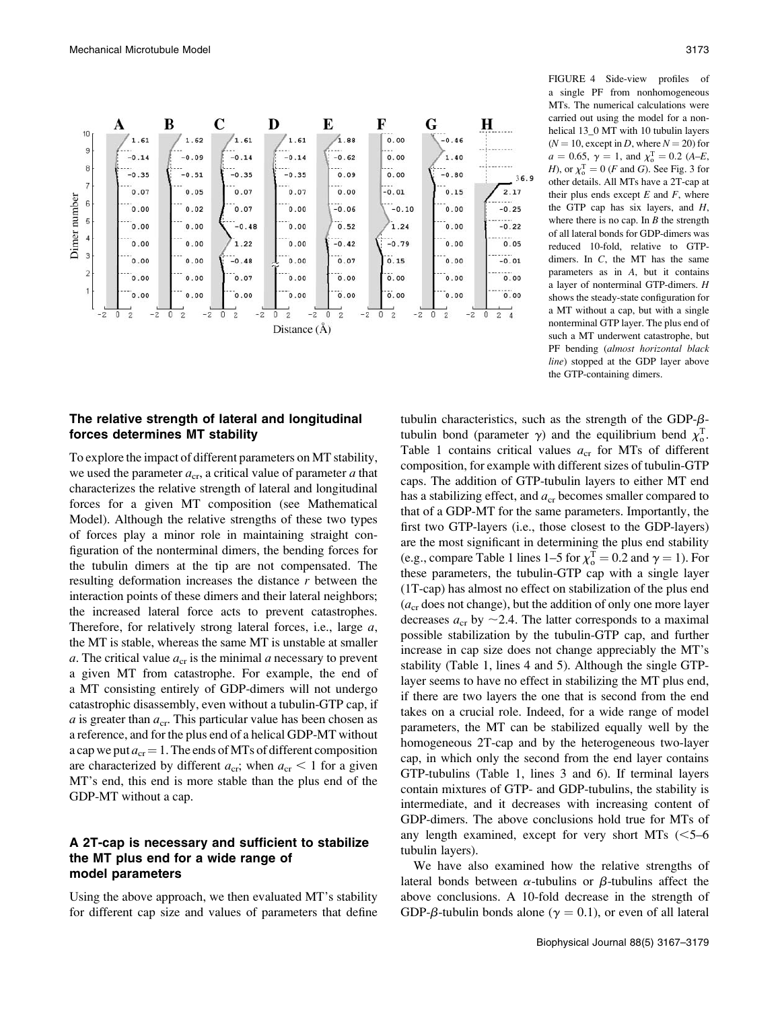|                         | A                                  | B                | С                                         | D                           | E                             | F                                             | G                         | Н                          |
|-------------------------|------------------------------------|------------------|-------------------------------------------|-----------------------------|-------------------------------|-----------------------------------------------|---------------------------|----------------------------|
| 10 <sub>r</sub>         | 1.61                               | 1.62             | 1.61                                      | 1.61                        | 1.88                          | 0.00                                          | $-0.46$                   |                            |
| 9                       | $-0.14$                            | $-0.09$          | $-0.14$                                   | $-0.14$                     | $-0.62$                       | 0.00                                          | 1.40                      |                            |
| 8 <sup>1</sup>          | $-0.35$                            | $-0.51$          | $-0.35$                                   | $-0.35$                     | 0.09                          | 0.00                                          | $-0.80$                   | 36.9                       |
| 7                       | 0.07                               | 0.05             | 0.07                                      | 0.07                        | 0.00                          | $-0.01$                                       | 0.15                      | 2.17                       |
| 6                       | 0.00                               | 0.02             | 0.07                                      | 0.00                        | $-0.06$                       | $-0.10$                                       | 0.00                      | $-0.25$                    |
| 5 <sub>1</sub>          | 0.00                               | 0.00             | $-0.48$                                   | 0.00                        | 0.52                          | 1.24                                          | 0.00                      | $-0.22$                    |
| 4 <sub>1</sub>          | 0.00                               | 0.00             | 1.22                                      | 0.00                        | $-0.42$                       | $-0.79$                                       | 0.00                      | 0.05                       |
| $\overline{\mathbf{3}}$ | 0.00                               | 0.00             | $-0.48$                                   | 0.00<br>見                   | 0.07                          | 0.15                                          | 0.00                      | $-0.01$                    |
| $\overline{2}$          | 0.00                               | 0.00             | 0.07                                      | 0.00                        | 0.00                          | 0.00                                          | 0.00                      | 0.00                       |
|                         | 0.00                               | 0.00             | 0.00                                      | 0.00                        | 0.00                          | 0.00                                          | 0.00                      | 0.00                       |
| $-2$                    | $\theta$<br>$-2$<br>$\overline{2}$ | $\mathbf 0$<br>2 | $\mathbf{0}$<br>$-2$<br>$-2$<br>$\bar{z}$ | 0<br>$-2$<br>$\overline{c}$ | $\mathbf 0$<br>$\overline{2}$ | $\mathbf 0$<br>$-2$<br>$-2$<br>$\overline{2}$ | 0<br>$-2$<br>$\mathbf{z}$ | $\theta$<br>2 <sub>4</sub> |
|                         |                                    |                  |                                           | Distance $(\AA)$            |                               |                                               |                           |                            |

### The relative strength of lateral and longitudinal forces determines MT stability

To explore the impact of different parameters on MT stability, we used the parameter  $a_{cr}$ , a critical value of parameter a that characterizes the relative strength of lateral and longitudinal forces for a given MT composition (see Mathematical Model). Although the relative strengths of these two types of forces play a minor role in maintaining straight configuration of the nonterminal dimers, the bending forces for the tubulin dimers at the tip are not compensated. The resulting deformation increases the distance r between the interaction points of these dimers and their lateral neighbors; the increased lateral force acts to prevent catastrophes. Therefore, for relatively strong lateral forces, i.e., large a, the MT is stable, whereas the same MT is unstable at smaller a. The critical value  $a_{cr}$  is the minimal a necessary to prevent a given MT from catastrophe. For example, the end of a MT consisting entirely of GDP-dimers will not undergo catastrophic disassembly, even without a tubulin-GTP cap, if a is greater than  $a_{cr}$ . This particular value has been chosen as a reference, and for the plus end of a helical GDP-MT without a cap we put  $a_{cr} = 1$ . The ends of MTs of different composition are characterized by different  $a_{cr}$ ; when  $a_{cr} < 1$  for a given MT's end, this end is more stable than the plus end of the GDP-MT without a cap.

## A 2T-cap is necessary and sufficient to stabilize the MT plus end for a wide range of model parameters

Using the above approach, we then evaluated MT's stability for different cap size and values of parameters that define

FIGURE 4 Side-view profiles of a single PF from nonhomogeneous MTs. The numerical calculations were carried out using the model for a nonhelical 13\_0 MT with 10 tubulin layers  $(N = 10$ , except in D, where  $N = 20$ ) for  $a = 0.65$ ,  $\gamma = 1$ , and  $\chi_0^T = 0.2$  (A-E, *H*), or  $\chi_0^T = 0$  (*F* and *G*). See Fig. 3 for other details. All MTs have a 2T-cap at their plus ends except  $E$  and  $F$ , where the GTP cap has six layers, and  $H$ , where there is no cap. In  $B$  the strength of all lateral bonds for GDP-dimers was reduced 10-fold, relative to GTPdimers. In C, the MT has the same parameters as in A, but it contains a layer of nonterminal GTP-dimers. H shows the steady-state configuration for a MT without a cap, but with a single nonterminal GTP layer. The plus end of such a MT underwent catastrophe, but PF bending (almost horizontal black line) stopped at the GDP layer above the GTP-containing dimers.

tubulin characteristics, such as the strength of the GDP- $\beta$ tubulin bond (parameter  $\gamma$ ) and the equilibrium bend  $\chi_0^T$ . Table 1 contains critical values  $a_{cr}$  for MTs of different composition, for example with different sizes of tubulin-GTP caps. The addition of GTP-tubulin layers to either MT end has a stabilizing effect, and  $a_{cr}$  becomes smaller compared to that of a GDP-MT for the same parameters. Importantly, the first two GTP-layers (i.e., those closest to the GDP-layers) are the most significant in determining the plus end stability (e.g., compare Table 1 lines 1–5 for  $\chi_0^T = 0.2$  and  $\gamma = 1$ ). For these parameters, the tubulin-GTP cap with a single layer (1T-cap) has almost no effect on stabilization of the plus end  $(a_{cr}$  does not change), but the addition of only one more layer decreases  $a_{cr}$  by  $\sim$  2.4. The latter corresponds to a maximal possible stabilization by the tubulin-GTP cap, and further increase in cap size does not change appreciably the MT's stability (Table 1, lines 4 and 5). Although the single GTPlayer seems to have no effect in stabilizing the MT plus end, if there are two layers the one that is second from the end takes on a crucial role. Indeed, for a wide range of model parameters, the MT can be stabilized equally well by the homogeneous 2T-cap and by the heterogeneous two-layer cap, in which only the second from the end layer contains GTP-tubulins (Table 1, lines 3 and 6). If terminal layers contain mixtures of GTP- and GDP-tubulins, the stability is intermediate, and it decreases with increasing content of GDP-dimers. The above conclusions hold true for MTs of any length examined, except for very short MTs  $(<5-6$ tubulin layers).

We have also examined how the relative strengths of lateral bonds between  $\alpha$ -tubulins or  $\beta$ -tubulins affect the above conclusions. A 10-fold decrease in the strength of GDP- $\beta$ -tubulin bonds alone ( $\gamma = 0.1$ ), or even of all lateral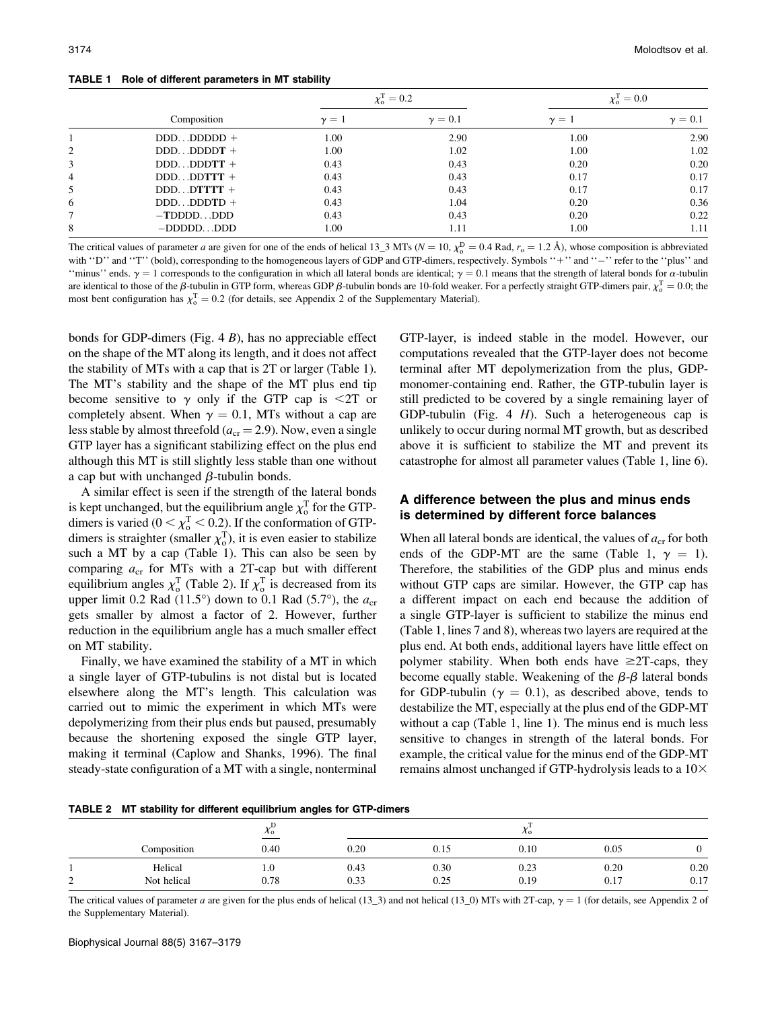#### TABLE 1 Role of different parameters in MT stability

|   |                |            | $\chi^{\rm T}_{\rm o} = 0.2$ | $\chi_{0}^{1}=0.0$ |              |
|---|----------------|------------|------------------------------|--------------------|--------------|
|   | Composition    | $\gamma=1$ | $\gamma=0.1$                 | $\gamma=1$         | $\gamma=0.1$ |
|   | $DDDDDDDD +$   | 1.00       | 2.90                         | 1.00               | 2.90         |
| 2 | $DDDDDDDT +$   | 1.00       | 1.02                         | 1.00               | 1.02         |
| 3 | $DDDDDDTT +$   | 0.43       | 0.43                         | 0.20               | 0.20         |
| 4 | $DDDDDTTTT +$  | 0.43       | 0.43                         | 0.17               | 0.17         |
| 5 | $DDDDTTTTT +$  | 0.43       | 0.43                         | 0.17               | 0.17         |
| 6 | $DDDDD$ $TD$ + | 0.43       | 1.04                         | 0.20               | 0.36         |
|   | $-TDDDDDD$     | 0.43       | 0.43                         | 0.20               | 0.22         |
| 8 | $-DDDDDDDD$    | 1.00       | 1.11                         | 1.00               | 1.11         |

The critical values of parameter a are given for one of the ends of helical 13\_3 MTs ( $N = 10$ ,  $\chi^D_0 = 0.4$  Rad,  $r_o = 1.2$  Å), whose composition is abbreviated with "D" and "T" (bold), corresponding to the homogeneous layers of GDP and GTP-dimers, respectively. Symbols "+" and "-" refer to the "plus" and "minus" ends.  $\gamma = 1$  corresponds to the configuration in which all lateral bonds are identical;  $\gamma = 0.1$  means that the strength of lateral bonds for  $\alpha$ -tubulin are identical to those of the  $\beta$ -tubulin in GTP form, whereas GDP  $\beta$ -tubulin bonds are 10-fold weaker. For a perfectly straight GTP-dimers pair,  $\chi_0^\text{T} = 0.0$ ; the most bent configuration has  $\chi_0^T = 0.2$  (for details, see Appendix 2 of the Supplementary Material).

bonds for GDP-dimers (Fig.  $4 B$ ), has no appreciable effect on the shape of the MT along its length, and it does not affect the stability of MTs with a cap that is 2T or larger (Table 1). The MT's stability and the shape of the MT plus end tip become sensitive to  $\gamma$  only if the GTP cap is  $\leq$ 2T or completely absent. When  $\gamma = 0.1$ , MTs without a cap are less stable by almost threefold ( $a_{cr} = 2.9$ ). Now, even a single GTP layer has a significant stabilizing effect on the plus end although this MT is still slightly less stable than one without a cap but with unchanged  $\beta$ -tubulin bonds.

A similar effect is seen if the strength of the lateral bonds is kept unchanged, but the equilibrium angle  $\chi_0^T$  for the GTPdimers is varied ( $0 < \chi_0^T < 0.2$ ). If the conformation of GTPdimers is straighter (smaller  $\chi_0^T$ ), it is even easier to stabilize such a MT by a cap (Table 1). This can also be seen by comparing  $a_{cr}$  for MTs with a 2T-cap but with different equilibrium angles  $\chi_0^T$  (Table 2). If  $\chi_0^T$  is decreased from its upper limit 0.2 Rad  $(11.5^{\circ})$  down to 0.1 Rad  $(5.7^{\circ})$ , the  $a_{cr}$ gets smaller by almost a factor of 2. However, further reduction in the equilibrium angle has a much smaller effect on MT stability.

Finally, we have examined the stability of a MT in which a single layer of GTP-tubulins is not distal but is located elsewhere along the MT's length. This calculation was carried out to mimic the experiment in which MTs were depolymerizing from their plus ends but paused, presumably because the shortening exposed the single GTP layer, making it terminal (Caplow and Shanks, 1996). The final steady-state configuration of a MT with a single, nonterminal

GTP-layer, is indeed stable in the model. However, our computations revealed that the GTP-layer does not become terminal after MT depolymerization from the plus, GDPmonomer-containing end. Rather, the GTP-tubulin layer is still predicted to be covered by a single remaining layer of GDP-tubulin (Fig. 4  $H$ ). Such a heterogeneous cap is unlikely to occur during normal MT growth, but as described above it is sufficient to stabilize the MT and prevent its catastrophe for almost all parameter values (Table 1, line 6).

### A difference between the plus and minus ends is determined by different force balances

When all lateral bonds are identical, the values of  $a_{cr}$  for both ends of the GDP-MT are the same (Table 1,  $\gamma = 1$ ). Therefore, the stabilities of the GDP plus and minus ends without GTP caps are similar. However, the GTP cap has a different impact on each end because the addition of a single GTP-layer is sufficient to stabilize the minus end (Table 1, lines 7 and 8), whereas two layers are required at the plus end. At both ends, additional layers have little effect on polymer stability. When both ends have  $\geq$ 2T-caps, they become equally stable. Weakening of the  $\beta$ - $\beta$  lateral bonds for GDP-tubulin ( $\gamma = 0.1$ ), as described above, tends to destabilize the MT, especially at the plus end of the GDP-MT without a cap (Table 1, line 1). The minus end is much less sensitive to changes in strength of the lateral bonds. For example, the critical value for the minus end of the GDP-MT remains almost unchanged if GTP-hydrolysis leads to a  $10\times$ 

|  |  |  | TABLE 2 MT stability for different equilibrium angles for GTP-dimers |  |
|--|--|--|----------------------------------------------------------------------|--|
|--|--|--|----------------------------------------------------------------------|--|

|        |             |                     | . .  |      |                     |      |      |
|--------|-------------|---------------------|------|------|---------------------|------|------|
|        | Composition | $\Lambda_0$<br>0.40 | 0.20 | 0.15 | $\Lambda_0$<br>0.10 | 0.05 |      |
|        | Helical     | 1.0                 | 0.43 | 0.30 | 0.23                | 0.20 | 0.20 |
| ⌒<br>∼ | Not helical | 0.78                | 0.33 | 0.25 | 0.19                | 0.17 | 0.17 |

The critical values of parameter a are given for the plus ends of helical (13\_3) and not helical (13\_0) MTs with 2T-cap,  $\gamma = 1$  (for details, see Appendix 2 of the Supplementary Material).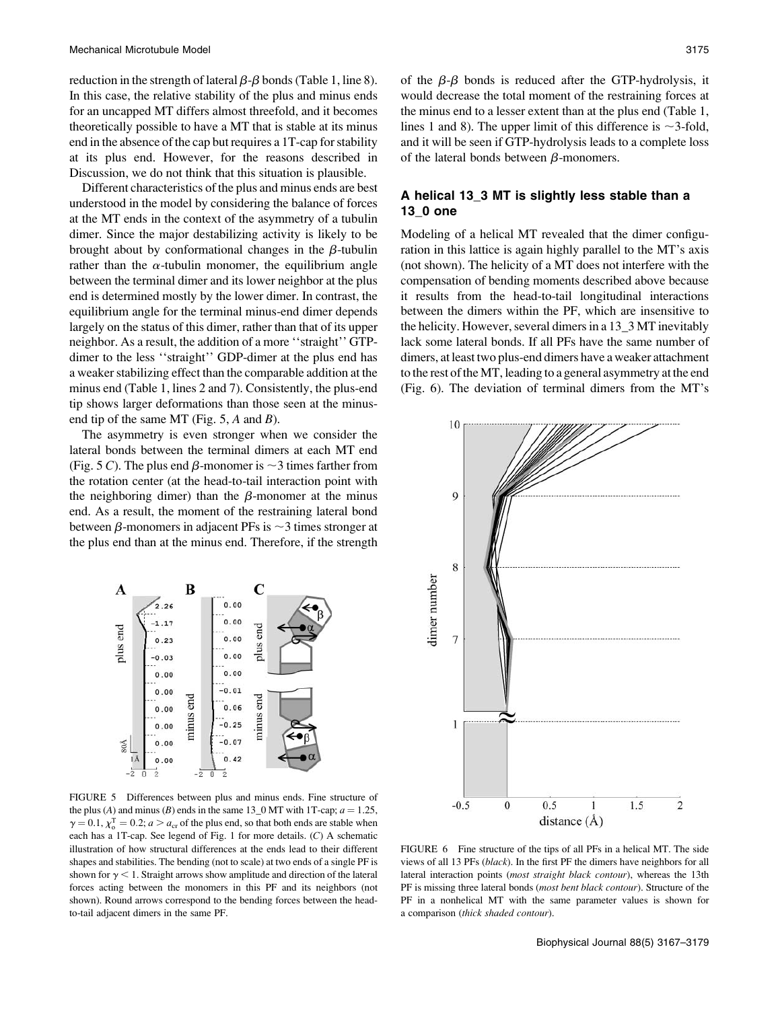reduction in the strength of lateral  $\beta$ - $\beta$  bonds (Table 1, line 8). In this case, the relative stability of the plus and minus ends for an uncapped MT differs almost threefold, and it becomes theoretically possible to have a MT that is stable at its minus end in the absence of the cap but requires a 1T-cap for stability at its plus end. However, for the reasons described in Discussion, we do not think that this situation is plausible.

Different characteristics of the plus and minus ends are best understood in the model by considering the balance of forces at the MT ends in the context of the asymmetry of a tubulin dimer. Since the major destabilizing activity is likely to be brought about by conformational changes in the  $\beta$ -tubulin rather than the  $\alpha$ -tubulin monomer, the equilibrium angle between the terminal dimer and its lower neighbor at the plus end is determined mostly by the lower dimer. In contrast, the equilibrium angle for the terminal minus-end dimer depends largely on the status of this dimer, rather than that of its upper neighbor. As a result, the addition of a more ''straight'' GTPdimer to the less ''straight'' GDP-dimer at the plus end has a weaker stabilizing effect than the comparable addition at the minus end (Table 1, lines 2 and 7). Consistently, the plus-end tip shows larger deformations than those seen at the minusend tip of the same MT (Fig.  $5$ , A and B).

The asymmetry is even stronger when we consider the lateral bonds between the terminal dimers at each MT end (Fig. 5 C). The plus end  $\beta$ -monomer is  $\sim$  3 times farther from the rotation center (at the head-to-tail interaction point with the neighboring dimer) than the  $\beta$ -monomer at the minus end. As a result, the moment of the restraining lateral bond between  $\beta$ -monomers in adjacent PFs is  $\sim$ 3 times stronger at the plus end than at the minus end. Therefore, if the strength



FIGURE 5 Differences between plus and minus ends. Fine structure of the plus (A) and minus (B) ends in the same  $13\_0$  MT with 1T-cap;  $a = 1.25$ ,  $\gamma = 0.1, \chi_0^T = 0.2; a > a_{cr}$  of the plus end, so that both ends are stable when each has a 1T-cap. See legend of Fig. 1 for more details. (C) A schematic illustration of how structural differences at the ends lead to their different shapes and stabilities. The bending (not to scale) at two ends of a single PF is shown for  $\gamma$  < 1. Straight arrows show amplitude and direction of the lateral forces acting between the monomers in this PF and its neighbors (not shown). Round arrows correspond to the bending forces between the headto-tail adjacent dimers in the same PF.

of the  $\beta$ - $\beta$  bonds is reduced after the GTP-hydrolysis, it would decrease the total moment of the restraining forces at the minus end to a lesser extent than at the plus end (Table 1, lines 1 and 8). The upper limit of this difference is  $\sim$ 3-fold, and it will be seen if GTP-hydrolysis leads to a complete loss of the lateral bonds between  $\beta$ -monomers.

# A helical 13\_3 MT is slightly less stable than a 13\_0 one

Modeling of a helical MT revealed that the dimer configuration in this lattice is again highly parallel to the MT's axis (not shown). The helicity of a MT does not interfere with the compensation of bending moments described above because it results from the head-to-tail longitudinal interactions between the dimers within the PF, which are insensitive to the helicity. However, several dimers in a 13\_3 MT inevitably lack some lateral bonds. If all PFs have the same number of dimers, at least two plus-end dimers have a weaker attachment to the rest of the MT, leading to a general asymmetry at the end (Fig. 6). The deviation of terminal dimers from the MT's



FIGURE 6 Fine structure of the tips of all PFs in a helical MT. The side views of all 13 PFs (black). In the first PF the dimers have neighbors for all lateral interaction points (most straight black contour), whereas the 13th PF is missing three lateral bonds (most bent black contour). Structure of the PF in a nonhelical MT with the same parameter values is shown for a comparison (thick shaded contour).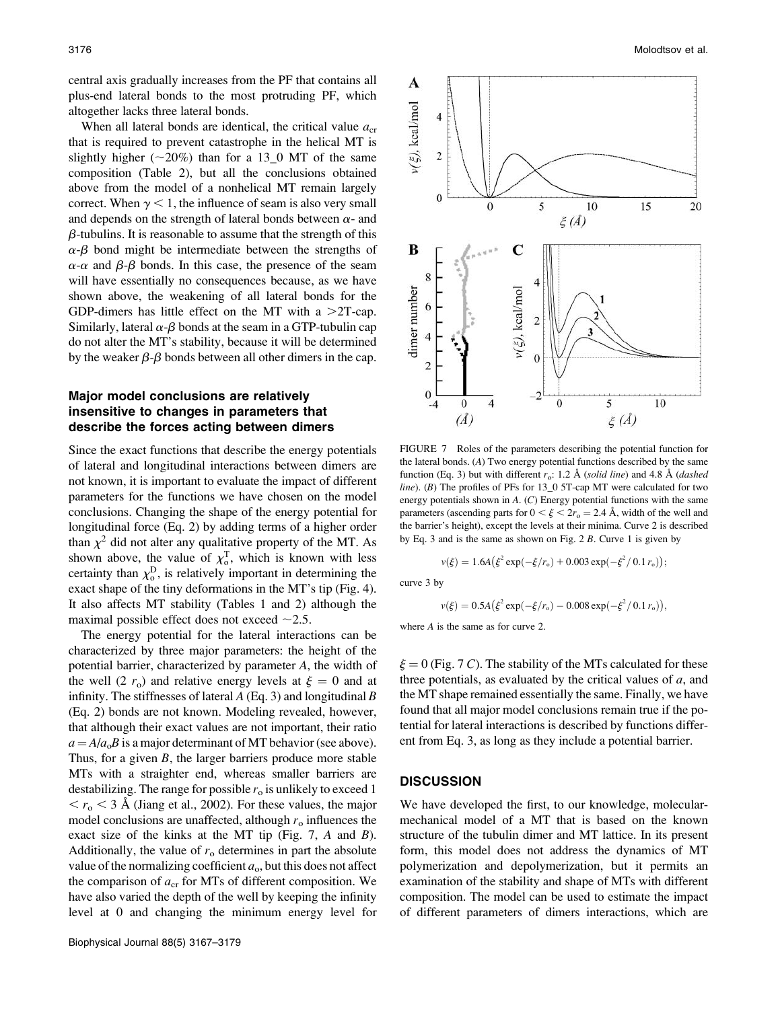central axis gradually increases from the PF that contains all plus-end lateral bonds to the most protruding PF, which altogether lacks three lateral bonds.

When all lateral bonds are identical, the critical value  $a_{cr}$ that is required to prevent catastrophe in the helical MT is slightly higher ( $\sim$ 20%) than for a 13\_0 MT of the same composition (Table 2), but all the conclusions obtained above from the model of a nonhelical MT remain largely correct. When  $\gamma$  < 1, the influence of seam is also very small and depends on the strength of lateral bonds between  $\alpha$ - and  $\beta$ -tubulins. It is reasonable to assume that the strength of this  $\alpha$ - $\beta$  bond might be intermediate between the strengths of  $\alpha$ - $\alpha$  and  $\beta$ - $\beta$  bonds. In this case, the presence of the seam will have essentially no consequences because, as we have shown above, the weakening of all lateral bonds for the GDP-dimers has little effect on the MT with a  $>2T$ -cap. Similarly, lateral  $\alpha$ - $\beta$  bonds at the seam in a GTP-tubulin cap do not alter the MT's stability, because it will be determined by the weaker  $\beta-\beta$  bonds between all other dimers in the cap.

## Major model conclusions are relatively insensitive to changes in parameters that describe the forces acting between dimers

Since the exact functions that describe the energy potentials of lateral and longitudinal interactions between dimers are not known, it is important to evaluate the impact of different parameters for the functions we have chosen on the model conclusions. Changing the shape of the energy potential for longitudinal force (Eq. 2) by adding terms of a higher order than  $\chi^2$  did not alter any qualitative property of the MT. As shown above, the value of  $\chi_0^T$ , which is known with less certainty than  $\chi_0^D$ , is relatively important in determining the exact shape of the tiny deformations in the MT's tip (Fig. 4). It also affects MT stability (Tables 1 and 2) although the maximal possible effect does not exceed  $\sim$ 2.5.

The energy potential for the lateral interactions can be characterized by three major parameters: the height of the potential barrier, characterized by parameter A, the width of the well (2  $r_0$ ) and relative energy levels at  $\xi = 0$  and at infinity. The stiffnesses of lateral  $A$  (Eq. 3) and longitudinal  $B$ (Eq. 2) bonds are not known. Modeling revealed, however, that although their exact values are not important, their ratio  $a = A/a_0B$  is a major determinant of MT behavior (see above). Thus, for a given  $B$ , the larger barriers produce more stable MTs with a straighter end, whereas smaller barriers are destabilizing. The range for possible  $r_0$  is unlikely to exceed 1  $r_{\rm o}$  < 3 Å (Jiang et al., 2002). For these values, the major model conclusions are unaffected, although  $r<sub>o</sub>$  influences the exact size of the kinks at the MT tip (Fig. 7, A and B). Additionally, the value of  $r<sub>o</sub>$  determines in part the absolute value of the normalizing coefficient  $a_0$ , but this does not affect the comparison of  $a_{cr}$  for MTs of different composition. We have also varied the depth of the well by keeping the infinity level at 0 and changing the minimum energy level for



FIGURE 7 Roles of the parameters describing the potential function for the lateral bonds. (A) Two energy potential functions described by the same function (Eq. 3) but with different  $r_0$ : 1.2 Å (solid line) and 4.8 Å (dashed *line*). (B) The profiles of PFs for 13\_0 5T-cap MT were calculated for two energy potentials shown in  $A$ .  $(C)$  Energy potential functions with the same parameters (ascending parts for  $0 \le \xi \le 2r_0 = 2.4$  Å, width of the well and the barrier's height), except the levels at their minima. Curve 2 is described by Eq. 3 and is the same as shown on Fig. 2 B. Curve 1 is given by

$$
v(\xi) = 1.6A(\xi^2 \exp(-\xi/r_o) + 0.003 \exp(-\xi^2/0.1 r_o));
$$

curve 3 by

$$
v(\xi) = 0.5A(\xi^2 \exp(-\xi/r_0) - 0.008 \exp(-\xi^2/0.1 r_0)),
$$

where A is the same as for curve 2.

 $\xi = 0$  (Fig. 7 C). The stability of the MTs calculated for these three potentials, as evaluated by the critical values of  $a$ , and the MT shape remained essentially the same. Finally, we have found that all major model conclusions remain true if the potential for lateral interactions is described by functions different from Eq. 3, as long as they include a potential barrier.

#### **DISCUSSION**

We have developed the first, to our knowledge, molecularmechanical model of a MT that is based on the known structure of the tubulin dimer and MT lattice. In its present form, this model does not address the dynamics of MT polymerization and depolymerization, but it permits an examination of the stability and shape of MTs with different composition. The model can be used to estimate the impact of different parameters of dimers interactions, which are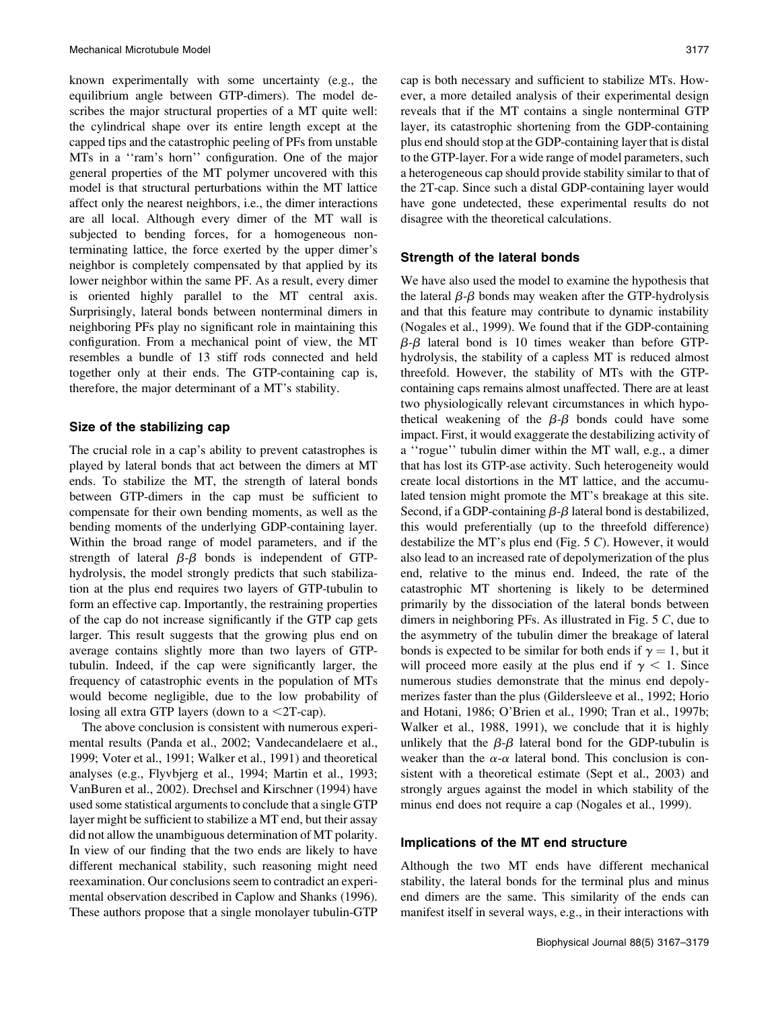known experimentally with some uncertainty (e.g., the equilibrium angle between GTP-dimers). The model describes the major structural properties of a MT quite well: the cylindrical shape over its entire length except at the capped tips and the catastrophic peeling of PFs from unstable MTs in a ''ram's horn'' configuration. One of the major general properties of the MT polymer uncovered with this model is that structural perturbations within the MT lattice affect only the nearest neighbors, i.e., the dimer interactions are all local. Although every dimer of the MT wall is subjected to bending forces, for a homogeneous nonterminating lattice, the force exerted by the upper dimer's neighbor is completely compensated by that applied by its lower neighbor within the same PF. As a result, every dimer is oriented highly parallel to the MT central axis. Surprisingly, lateral bonds between nonterminal dimers in neighboring PFs play no significant role in maintaining this configuration. From a mechanical point of view, the MT resembles a bundle of 13 stiff rods connected and held together only at their ends. The GTP-containing cap is, therefore, the major determinant of a MT's stability.

#### Size of the stabilizing cap

The crucial role in a cap's ability to prevent catastrophes is played by lateral bonds that act between the dimers at MT ends. To stabilize the MT, the strength of lateral bonds between GTP-dimers in the cap must be sufficient to compensate for their own bending moments, as well as the bending moments of the underlying GDP-containing layer. Within the broad range of model parameters, and if the strength of lateral  $\beta-\beta$  bonds is independent of GTPhydrolysis, the model strongly predicts that such stabilization at the plus end requires two layers of GTP-tubulin to form an effective cap. Importantly, the restraining properties of the cap do not increase significantly if the GTP cap gets larger. This result suggests that the growing plus end on average contains slightly more than two layers of GTPtubulin. Indeed, if the cap were significantly larger, the frequency of catastrophic events in the population of MTs would become negligible, due to the low probability of losing all extra GTP layers (down to a  $\leq$ 2T-cap).

The above conclusion is consistent with numerous experimental results (Panda et al., 2002; Vandecandelaere et al., 1999; Voter et al., 1991; Walker et al., 1991) and theoretical analyses (e.g., Flyvbjerg et al., 1994; Martin et al., 1993; VanBuren et al., 2002). Drechsel and Kirschner (1994) have used some statistical arguments to conclude that a single GTP layer might be sufficient to stabilize a MT end, but their assay did not allow the unambiguous determination of MT polarity. In view of our finding that the two ends are likely to have different mechanical stability, such reasoning might need reexamination. Our conclusions seem to contradict an experimental observation described in Caplow and Shanks (1996). These authors propose that a single monolayer tubulin-GTP cap is both necessary and sufficient to stabilize MTs. However, a more detailed analysis of their experimental design reveals that if the MT contains a single nonterminal GTP layer, its catastrophic shortening from the GDP-containing plus end should stop at the GDP-containing layer that is distal to the GTP-layer. For a wide range of model parameters, such a heterogeneous cap should provide stability similar to that of the 2T-cap. Since such a distal GDP-containing layer would have gone undetected, these experimental results do not disagree with the theoretical calculations.

#### Strength of the lateral bonds

We have also used the model to examine the hypothesis that the lateral  $\beta-\beta$  bonds may weaken after the GTP-hydrolysis and that this feature may contribute to dynamic instability (Nogales et al., 1999). We found that if the GDP-containing  $\beta$ - $\beta$  lateral bond is 10 times weaker than before GTPhydrolysis, the stability of a capless MT is reduced almost threefold. However, the stability of MTs with the GTPcontaining caps remains almost unaffected. There are at least two physiologically relevant circumstances in which hypothetical weakening of the  $\beta-\beta$  bonds could have some impact. First, it would exaggerate the destabilizing activity of a ''rogue'' tubulin dimer within the MT wall, e.g., a dimer that has lost its GTP-ase activity. Such heterogeneity would create local distortions in the MT lattice, and the accumulated tension might promote the MT's breakage at this site. Second, if a GDP-containing  $\beta$ - $\beta$  lateral bond is destabilized, this would preferentially (up to the threefold difference) destabilize the MT's plus end (Fig. 5 C). However, it would also lead to an increased rate of depolymerization of the plus end, relative to the minus end. Indeed, the rate of the catastrophic MT shortening is likely to be determined primarily by the dissociation of the lateral bonds between dimers in neighboring PFs. As illustrated in Fig. 5 C, due to the asymmetry of the tubulin dimer the breakage of lateral bonds is expected to be similar for both ends if  $\gamma = 1$ , but it will proceed more easily at the plus end if  $\gamma$  < 1. Since numerous studies demonstrate that the minus end depolymerizes faster than the plus (Gildersleeve et al., 1992; Horio and Hotani, 1986; O'Brien et al., 1990; Tran et al., 1997b; Walker et al., 1988, 1991), we conclude that it is highly unlikely that the  $\beta-\beta$  lateral bond for the GDP-tubulin is weaker than the  $\alpha$ - $\alpha$  lateral bond. This conclusion is consistent with a theoretical estimate (Sept et al., 2003) and strongly argues against the model in which stability of the minus end does not require a cap (Nogales et al., 1999).

#### Implications of the MT end structure

Although the two MT ends have different mechanical stability, the lateral bonds for the terminal plus and minus end dimers are the same. This similarity of the ends can manifest itself in several ways, e.g., in their interactions with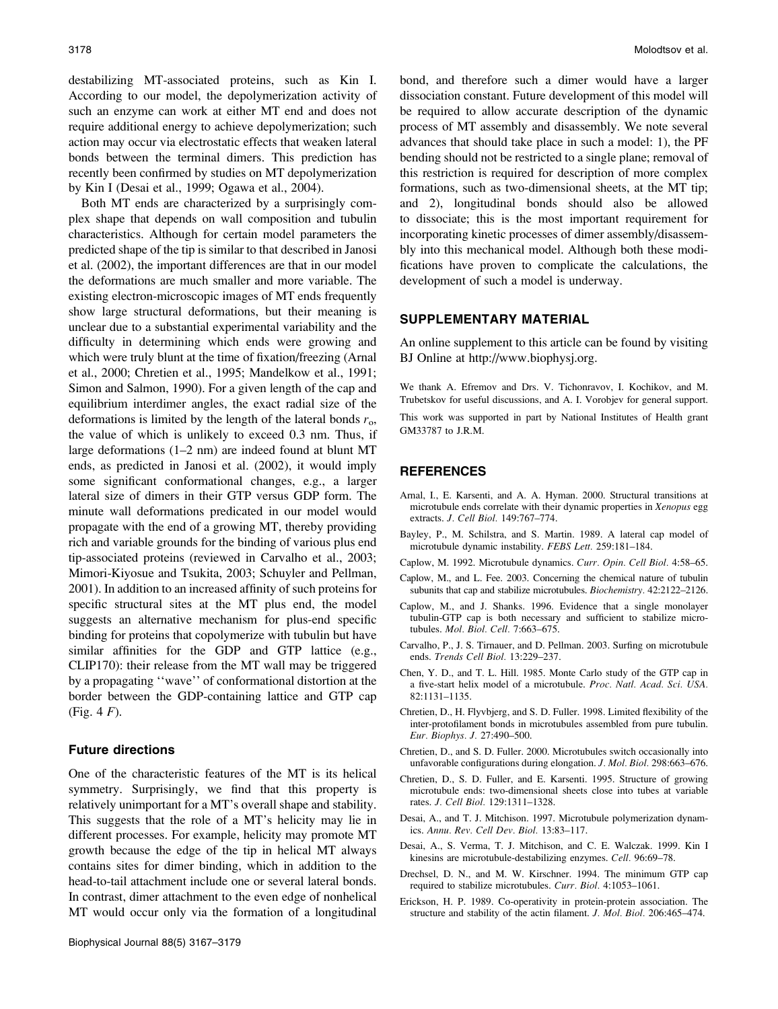destabilizing MT-associated proteins, such as Kin I. According to our model, the depolymerization activity of such an enzyme can work at either MT end and does not require additional energy to achieve depolymerization; such action may occur via electrostatic effects that weaken lateral bonds between the terminal dimers. This prediction has recently been confirmed by studies on MT depolymerization by Kin I (Desai et al., 1999; Ogawa et al., 2004).

Both MT ends are characterized by a surprisingly complex shape that depends on wall composition and tubulin characteristics. Although for certain model parameters the predicted shape of the tip is similar to that described in Janosi et al. (2002), the important differences are that in our model the deformations are much smaller and more variable. The existing electron-microscopic images of MT ends frequently show large structural deformations, but their meaning is unclear due to a substantial experimental variability and the difficulty in determining which ends were growing and which were truly blunt at the time of fixation/freezing (Arnal et al., 2000; Chretien et al., 1995; Mandelkow et al., 1991; Simon and Salmon, 1990). For a given length of the cap and equilibrium interdimer angles, the exact radial size of the deformations is limited by the length of the lateral bonds  $r_{\rm o}$ , the value of which is unlikely to exceed 0.3 nm. Thus, if large deformations (1–2 nm) are indeed found at blunt MT ends, as predicted in Janosi et al. (2002), it would imply some significant conformational changes, e.g., a larger lateral size of dimers in their GTP versus GDP form. The minute wall deformations predicated in our model would propagate with the end of a growing MT, thereby providing rich and variable grounds for the binding of various plus end tip-associated proteins (reviewed in Carvalho et al., 2003; Mimori-Kiyosue and Tsukita, 2003; Schuyler and Pellman, 2001). In addition to an increased affinity of such proteins for specific structural sites at the MT plus end, the model suggests an alternative mechanism for plus-end specific binding for proteins that copolymerize with tubulin but have similar affinities for the GDP and GTP lattice (e.g., CLIP170): their release from the MT wall may be triggered by a propagating ''wave'' of conformational distortion at the border between the GDP-containing lattice and GTP cap  $(Fig. 4 F).$ 

#### Future directions

One of the characteristic features of the MT is its helical symmetry. Surprisingly, we find that this property is relatively unimportant for a MT's overall shape and stability. This suggests that the role of a MT's helicity may lie in different processes. For example, helicity may promote MT growth because the edge of the tip in helical MT always contains sites for dimer binding, which in addition to the head-to-tail attachment include one or several lateral bonds. In contrast, dimer attachment to the even edge of nonhelical MT would occur only via the formation of a longitudinal bond, and therefore such a dimer would have a larger dissociation constant. Future development of this model will be required to allow accurate description of the dynamic process of MT assembly and disassembly. We note several advances that should take place in such a model: 1), the PF bending should not be restricted to a single plane; removal of this restriction is required for description of more complex formations, such as two-dimensional sheets, at the MT tip; and 2), longitudinal bonds should also be allowed to dissociate; this is the most important requirement for incorporating kinetic processes of dimer assembly/disassembly into this mechanical model. Although both these modifications have proven to complicate the calculations, the development of such a model is underway.

#### SUPPLEMENTARY MATERIAL

An online supplement to this article can be found by visiting BJ Online at http://www.biophysj.org.

We thank A. Efremov and Drs. V. Tichonravov, I. Kochikov, and M. Trubetskov for useful discussions, and A. I. Vorobjev for general support. This work was supported in part by National Institutes of Health grant GM33787 to J.R.M.

### **REFERENCES**

- Arnal, I., E. Karsenti, and A. A. Hyman. 2000. Structural transitions at microtubule ends correlate with their dynamic properties in Xenopus egg extracts. J. Cell Biol. 149:767–774.
- Bayley, P., M. Schilstra, and S. Martin. 1989. A lateral cap model of microtubule dynamic instability. FEBS Lett. 259:181–184.
- Caplow, M. 1992. Microtubule dynamics. Curr. Opin. Cell Biol. 4:58–65.
- Caplow, M., and L. Fee. 2003. Concerning the chemical nature of tubulin subunits that cap and stabilize microtubules. Biochemistry. 42:2122–2126.
- Caplow, M., and J. Shanks. 1996. Evidence that a single monolayer tubulin-GTP cap is both necessary and sufficient to stabilize microtubules. Mol. Biol. Cell. 7:663–675.
- Carvalho, P., J. S. Tirnauer, and D. Pellman. 2003. Surfing on microtubule ends. Trends Cell Biol. 13:229–237.
- Chen, Y. D., and T. L. Hill. 1985. Monte Carlo study of the GTP cap in a five-start helix model of a microtubule. Proc. Natl. Acad. Sci. USA. 82:1131–1135.
- Chretien, D., H. Flyvbjerg, and S. D. Fuller. 1998. Limited flexibility of the inter-protofilament bonds in microtubules assembled from pure tubulin. Eur. Biophys. J. 27:490–500.
- Chretien, D., and S. D. Fuller. 2000. Microtubules switch occasionally into unfavorable configurations during elongation. J. Mol. Biol. 298:663–676.
- Chretien, D., S. D. Fuller, and E. Karsenti. 1995. Structure of growing microtubule ends: two-dimensional sheets close into tubes at variable rates. J. Cell Biol. 129:1311–1328.
- Desai, A., and T. J. Mitchison. 1997. Microtubule polymerization dynamics. Annu. Rev. Cell Dev. Biol. 13:83–117.
- Desai, A., S. Verma, T. J. Mitchison, and C. E. Walczak. 1999. Kin I kinesins are microtubule-destabilizing enzymes. Cell. 96:69–78.
- Drechsel, D. N., and M. W. Kirschner. 1994. The minimum GTP cap required to stabilize microtubules. Curr. Biol. 4:1053–1061.
- Erickson, H. P. 1989. Co-operativity in protein-protein association. The structure and stability of the actin filament. J. Mol. Biol. 206:465–474.